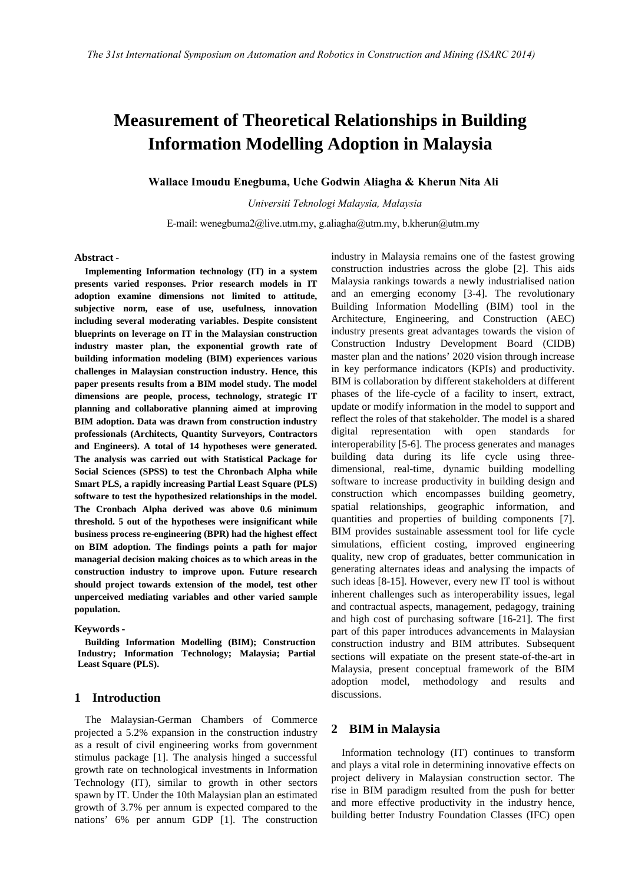# **Measurement of Theoretical Relationships in Building Information Modelling Adoption in Malaysia**

## **Wallace Imoudu Enegbuma, Uche Godwin Aliagha & Kherun Nita Ali**

*Universiti Teknologi Malaysia, Malaysia*

E-mail: wenegbuma2@live.utm.my, g.aliagha@utm.my, b.kherun@utm.my

#### **Abstract -**

**Implementing Information technology (IT) in a system presents varied responses. Prior research models in IT adoption examine dimensions not limited to attitude, subjective norm, ease of use, usefulness, innovation including several moderating variables. Despite consistent blueprints on leverage on IT in the Malaysian construction industry master plan, the exponential growth rate of building information modeling (BIM) experiences various challenges in Malaysian construction industry. Hence, this paper presents results from a BIM model study. The model dimensions are people, process, technology, strategic IT planning and collaborative planning aimed at improving BIM** adoption. Data was drawn from construction industry reflect to professionals (Architects Quantity Surveyors Contractors digital) **professionals (Architects, Quantity Surveyors, Contractors and Engineers). A total of 14 hypotheses were generated. The analysis was carried out with Statistical Package for Social Sciences (SPSS) to test the Chronbach Alpha while Smart PLS, a rapidly increasing Partial Least Square (PLS) software to test the hypothesized relationships in the model. The Cronbach Alpha derived was above 0.6 minimum threshold. 5 out of the hypotheses were insignificant while business process re-engineering (BPR) had the highest effect on BIM adoption. The findings points a path for major managerial decision making choices as to which areas in the construction industry to improve upon. Future research should project towards extension of the model, test other unperceived mediating variables and other varied sample population.**

#### **Keywords -**

**Building Information Modelling (BIM); Construction Industry; Information Technology; Malaysia; Partial Least Square (PLS).**

## **1 Introduction**

The Malaysian-German Chambers of Commerce projected a 5.2% expansion in the construction industry as a result of civil engineering works from government stimulus package [1]. The analysis hinged a successful growth rate on technological investments in Information Technology (IT), similar to growth in other sectors spawn by IT. Under the 10th Malaysian plan an estimated growth of 3.7% per annum is expected compared to the nations' 6% per annum GDP [1]. The construction industry in Malaysia remains one of the fastest growing construction industries across the globe [2]. This aids Malaysia rankings towards a newly industrialised nation and an emerging economy [3-4]. The revolutionary Building Information Modelling (BIM) tool in the Architecture, Engineering, and Construction (AEC) industry presents great advantages towards the vision of Construction Industry Development Board (CIDB) master plan and the nations' 2020 vision through increase in key performance indicators (KPIs) and productivity. BIM is collaboration by different stakeholders at different phases of the life-cycle of a facility to insert, extract, update or modify information in the model to support and reflect the roles of that stakeholder. The model is a shared representation with open standards for interoperability [5-6]. The process generates and manages building data during its life cycle using three dimensional, real-time, dynamic building modelling software to increase productivity in building design and construction which encompasses building geometry, spatial relationships, geographic information, and quantities and properties of building components [7]. BIM provides sustainable assessment tool for life cycle simulations, efficient costing, improved engineering quality, new crop of graduates, better communication in generating alternates ideas and analysing the impacts of such ideas [8-15]. However, every new IT tool is without inherent challenges such as interoperability issues, legal and contractual aspects, management, pedagogy, training and high cost of purchasing software [16-21]. The first part of this paper introduces advancements in Malaysian construction industry and BIM attributes. Subsequent sections will expatiate on the present state-of-the-art in Malaysia, present conceptual framework of the BIM adoption model, methodology and results and discussions.

## **2 BIM in Malaysia**

Information technology (IT) continues to transform and plays a vital role in determining innovative effects on project delivery in Malaysian construction sector. The rise in BIM paradigm resulted from the push for better and more effective productivity in the industry hence, building better Industry Foundation Classes (IFC) open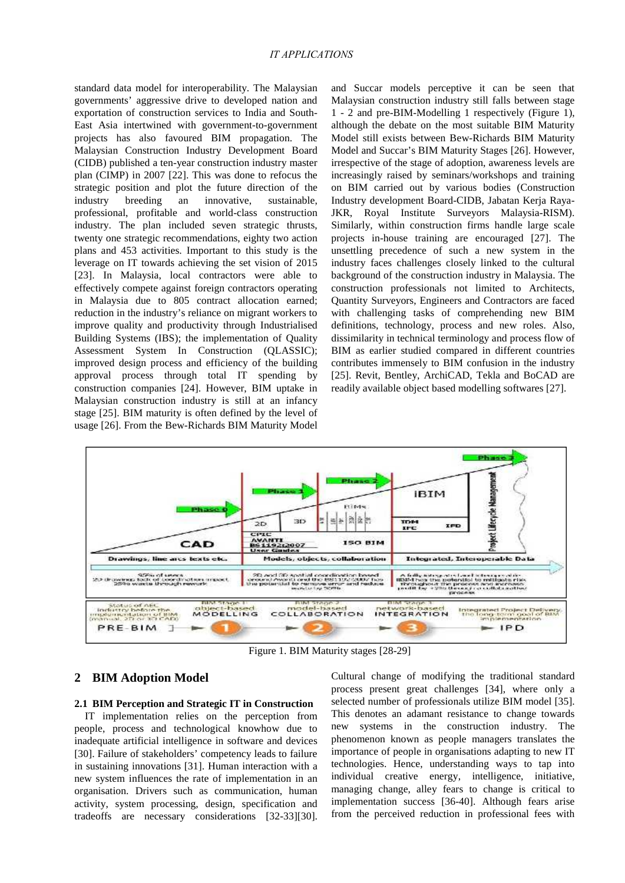standard data model for interoperability. The Malaysian governments' aggressive drive to developed nation and exportation of construction services to India and South- East Asia intertwined with government-to-government projects has also favoured BIM propagation. The Malaysian Construction Industry Development Board (CIDB) published a ten-year construction industry master plan (CIMP) in 2007 [22]. This was done to refocus the strategic position and plot the future direction of the industry breeding an innovative, sustainable, professional, profitable and world-class construction industry. The plan included seven strategic thrusts, twenty one strategic recommendations, eighty two action plans and 453 activities. Important to this study is the leverage on IT towards achieving the set vision of 2015 [23]. In Malaysia, local contractors were able to effectively compete against foreign contractors operating in Malaysia due to 805 contract allocation earned; reduction in the industry's reliance on migrant workers to improve quality and productivity through Industrialised Building Systems (IBS); the implementation of Quality Assessment System In Construction (QLASSIC); improved design process and efficiency of the building approval process through total IT spending by construction companies [24]. However, BIM uptake in Malaysian construction industry is still at an infancy stage [25]. BIM maturity is often defined by the level of usage [26]. From the Bew-Richards BIM Maturity Model

and Succar models perceptive it can be seen that Malaysian construction industry still falls between stage 1 - 2 and pre-BIM-Modelling 1 respectively (Figure 1), although the debate on the most suitable BIM Maturity Model still exists between Bew-Richards BIM Maturity Model and Succar's BIM Maturity Stages [26]. However, irrespective of the stage of adoption, awareness levels are increasingly raised by seminars/workshops and training on BIM carried out by various bodies (Construction Industry development Board-CIDB, Jabatan Kerja Raya- JKR, Royal Institute Surveyors Malaysia-RISM). Similarly, within construction firms handle large scale projects in-house training are encouraged [27]. The unsettling precedence of such a new system in the industry faces challenges closely linked to the cultural background of the construction industry in Malaysia. The construction professionals not limited to Architects, Quantity Surveyors, Engineers and Contractors are faced with challenging tasks of comprehending new BIM definitions, technology, process and new roles. Also, dissimilarity in technical terminology and process flow of BIM as earlier studied compared in different countries contributes immensely to BIM confusion in the industry [25]. Revit, Bentley, ArchiCAD, Tekla and BoCAD are readily available object based modelling softwares [27].



Figure 1. BIM Maturity stages [28-29]

## **2 BIM Adoption Model**

#### **2.1 BIM Perception and Strategic IT in Construction**

IT implementation relies on the perception from people, process and technological knowhow due to inadequate artificial intelligence in software and devices [30]. Failure of stakeholders' competency leads to failure in sustaining innovations [31]. Human interaction with a new system influences the rate of implementation in an organisation. Drivers such as communication, human activity, system processing, design, specification and tradeoffs are necessary considerations [32-33][30].

Cultural change of modifying the traditional standard process present great challenges [34], where only a selected number of professionals utilize BIM model [35]. This denotes an adamant resistance to change towards new systems in the construction industry. The phenomenon known as people managers translates the importance of people in organisations adapting to new IT technologies. Hence, understanding ways to tap into individual creative energy, intelligence, initiative, managing change, alley fears to change is critical to implementation success [36-40]. Although fears arise from the perceived reduction in professional fees with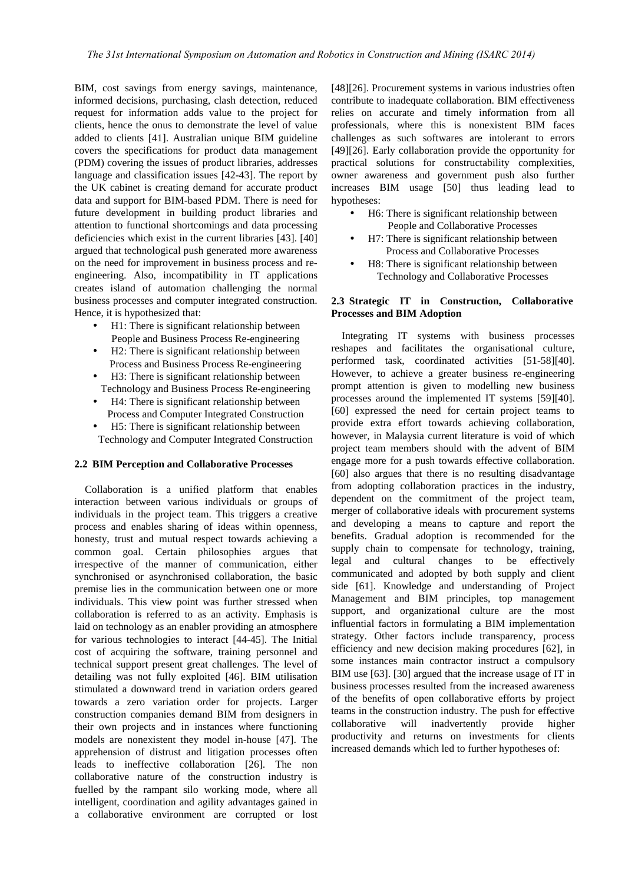BIM, cost savings from energy savings, maintenance, informed decisions, purchasing, clash detection, reduced request for information adds value to the project for clients, hence the onus to demonstrate the level of value added to clients [41]. Australian unique BIM guideline covers the specifications for product data management (PDM) covering the issues of product libraries, addresses language and classification issues [42-43]. The report by the UK cabinet is creating demand for accurate product data and support for BIM-based PDM. There is need for future development in building product libraries and attention to functional shortcomings and data processing deficiencies which exist in the current libraries [43]. [40] argued that technological push generated more awareness on the need for improvement in business process and re engineering. Also, incompatibility in IT applications creates island of automation challenging the normal business processes and computer integrated construction. Hence, it is hypothesized that:

- H1: There is significant relationship between People and Business Process Re-engineering
- H2: There is significant relationship between Process and Business Process Re-engineering
- H3: There is significant relationship between Technology and Business Process Re-engineering
- H4: There is significant relationship between Process and Computer Integrated Construction
- H5: There is significant relationship between Technology and Computer Integrated Construction

## **2.2 BIM Perception and Collaborative Processes**

Collaboration is a unified platform that enables interaction between various individuals or groups of individuals in the project team. This triggers a creative process and enables sharing of ideas within openness, honesty, trust and mutual respect towards achieving a common goal. Certain philosophies argues that irrespective of the manner of communication, either synchronised or asynchronised collaboration, the basic premise lies in the communication between one or more individuals. This view point was further stressed when collaboration is referred to as an activity. Emphasis is laid on technology as an enabler providing an atmosphere for various technologies to interact [44-45]. The Initial cost of acquiring the software, training personnel and technical support present great challenges. The level of detailing was not fully exploited [46]. BIM utilisation stimulated a downward trend in variation orders geared towards a zero variation order for projects. Larger construction companies demand BIM from designers in their own projects and in instances where functioning models are nonexistent they model in-house [47]. The apprehension of distrust and litigation processes often leads to ineffective collaboration [26]. The non collaborative nature of the construction industry is fuelled by the rampant silo working mode, where all intelligent, coordination and agility advantages gained in a collaborative environment are corrupted or lost

[48][26]. Procurement systems in various industries often contribute to inadequate collaboration. BIM effectiveness relies on accurate and timely information from all professionals, where this is nonexistent BIM faces challenges as such softwares are intolerant to errors [49][26]. Early collaboration provide the opportunity for practical solutions for constructability complexities, owner awareness and government push also further increases BIM usage [50] thus leading lead to hypotheses:

- H6: There is significant relationship between People and Collaborative Processes
- H7: There is significant relationship between Process and Collaborative Processes
- H8: There is significant relationship between Technology and Collaborative Processes

## **2.3 Strategic IT in Construction, Collaborative Processes and BIM Adoption**

Integrating IT systems with business processes reshapes and facilitates the organisational culture, performed task, coordinated activities [51-58][40]. However, to achieve a greater business re-engineering prompt attention is given to modelling new business processes around the implemented IT systems [59][40]. [60] expressed the need for certain project teams to provide extra effort towards achieving collaboration, however, in Malaysia current literature is void of which project team members should with the advent of BIM engage more for a push towards effective collaboration. [60] also argues that there is no resulting disadvantage from adopting collaboration practices in the industry, dependent on the commitment of the project team, merger of collaborative ideals with procurement systems and developing a means to capture and report the benefits. Gradual adoption is recommended for the supply chain to compensate for technology, training, legal and cultural changes to be effectively communicated and adopted by both supply and client side [61]. Knowledge and understanding of Project Management and BIM principles, top management support, and organizational culture are the most influential factors in formulating a BIM implementation strategy. Other factors include transparency, process efficiency and new decision making procedures [62], in some instances main contractor instruct a compulsory BIM use [63]. [30] argued that the increase usage of IT in business processes resulted from the increased awareness of the benefits of open collaborative efforts by project teams in the construction industry. The push for effective collaborative will inadvertently provide higher productivity and returns on investments for clients increased demands which led to further hypotheses of: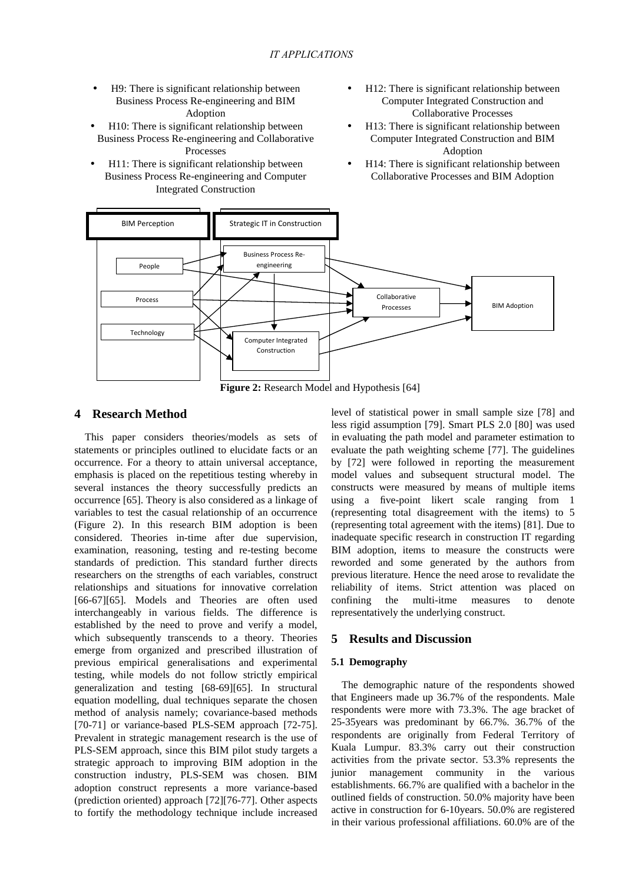- H9: There is significant relationship between Business Process Re-engineering and BIM Adoption
- H10: There is significant relationship between Business Process Re-engineering and Collaborative Processes
- H11: There is significant relationship between Business Process Re-engineering and Computer Integrated Construction
- H12: There is significant relationship between Computer Integrated Construction and Collaborative Processes
- H13: There is significant relationship between Computer Integrated Construction and BIM Adoption
- H14: There is significant relationship between Collaborative Processes and BIM Adoption



**Figure 2:** Research Model and Hypothesis [64]

## **4 Research Method**

This paper considers theories/models as sets of statements or principles outlined to elucidate facts or an occurrence. For a theory to attain universal acceptance, emphasis is placed on the repetitious testing whereby in several instances the theory successfully predicts an occurrence [65]. Theory is also considered as a linkage of variables to test the casual relationship of an occurrence (Figure 2). In this research BIM adoption is been considered. Theories in-time after due supervision, examination, reasoning, testing and re-testing become standards of prediction. This standard further directs researchers on the strengths of each variables, construct relationships and situations for innovative correlation [66-67][65]. Models and Theories are often used interchangeably in various fields. The difference is established by the need to prove and verify a model, which subsequently transcends to a theory. Theories emerge from organized and prescribed illustration of previous empirical generalisations and experimental testing, while models do not follow strictly empirical generalization and testing [68-69][65]. In structural equation modelling, dual techniques separate the chosen method of analysis namely; covariance-based methods [70-71] or variance-based PLS-SEM approach [72-75]. Prevalent in strategic management research is the use of PLS-SEM approach, since this BIM pilot study targets a strategic approach to improving BIM adoption in the construction industry, PLS-SEM was chosen. BIM adoption construct represents a more variance-based (prediction oriented) approach [72][76-77]. Other aspects to fortify the methodology technique include increased

level of statistical power in small sample size [78] and less rigid assumption [79]. Smart PLS 2.0 [80] was used in evaluating the path model and parameter estimation to evaluate the path weighting scheme [77]. The guidelines by [72] were followed in reporting the measurement model values and subsequent structural model. The constructs were measured by means of multiple items using a five-point likert scale ranging from 1 (representing total disagreement with the items) to 5 (representing total agreement with the items) [81]. Due to inadequate specific research in construction IT regarding BIM adoption, items to measure the constructs were reworded and some generated by the authors from previous literature. Hence the need arose to revalidate the reliability of items. Strict attention was placed on confining the multi-itme measures to denote representatively the underlying construct.

## **5 Results and Discussion**

### **5.1 Demography**

The demographic nature of the respondents showed that Engineers made up 36.7% of the respondents. Male respondents were more with 73.3%. The age bracket of 25-35years was predominant by 66.7%. 36.7% of the respondents are originally from Federal Territory of Kuala Lumpur. 83.3% carry out their construction activities from the private sector. 53.3% represents the junior management community in the various establishments. 66.7% are qualified with a bachelor in the outlined fields of construction. 50.0% majority have been active in construction for 6-10years. 50.0% are registered in their various professional affiliations. 60.0% are of the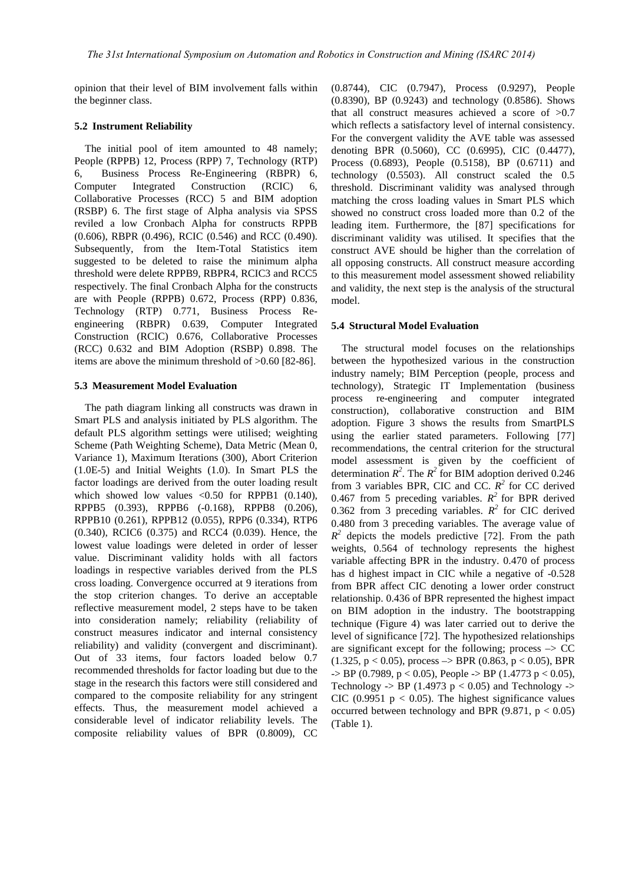opinion that their level of BIM involvement falls within the beginner class.

#### **5.2 Instrument Reliability**

The initial pool of item amounted to 48 namely; People (RPPB) 12, Process (RPP) 7, Technology (RTP) 6, Business Process Re-Engineering (RBPR) 6, Computer Integrated Construction (RCIC) 6, Collaborative Processes (RCC) 5 and BIM adoption (RSBP) 6. The first stage of Alpha analysis via SPSS reviled a low Cronbach Alpha for constructs RPPB (0.606), RBPR (0.496), RCIC (0.546) and RCC (0.490). Subsequently, from the Item-Total Statistics item suggested to be deleted to raise the minimum alpha threshold were delete RPPB9, RBPR4, RCIC3 and RCC5 respectively. The final Cronbach Alpha for the constructs are with People (RPPB) 0.672, Process (RPP) 0.836, Technology (RTP) 0.771, Business Process Re engineering (RBPR) 0.639, Computer Integrated Construction (RCIC) 0.676, Collaborative Processes (RCC) 0.632 and BIM Adoption (RSBP) 0.898. The items are above the minimum threshold of >0.60 [82-86].

## **5.3 Measurement Model Evaluation**

The path diagram linking all constructs was drawn in Smart PLS and analysis initiated by PLS algorithm. The default PLS algorithm settings were utilised; weighting Scheme (Path Weighting Scheme), Data Metric (Mean 0, Variance 1), Maximum Iterations (300), Abort Criterion (1.0E-5) and Initial Weights (1.0). In Smart PLS the factor loadings are derived from the outer loading result which showed low values  $\langle 0.50$  for RPPB1 (0.140), RPPB5 (0.393), RPPB6 (-0.168), RPPB8 (0.206), RPPB10 (0.261), RPPB12 (0.055), RPP6 (0.334), RTP6 (0.340), RCIC6 (0.375) and RCC4 (0.039). Hence, the lowest value loadings were deleted in order of lesser value. Discriminant validity holds with all factors loadings in respective variables derived from the PLS cross loading. Convergence occurred at 9 iterations from the stop criterion changes. To derive an acceptable reflective measurement model, 2 steps have to be taken into consideration namely; reliability (reliability of construct measures indicator and internal consistency reliability) and validity (convergent and discriminant). Out of 33 items, four factors loaded below 0.7 recommended thresholds for factor loading but due to the stage in the research this factors were still considered and compared to the composite reliability for any stringent effects. Thus, the measurement model achieved a considerable level of indicator reliability levels. The composite reliability values of BPR (0.8009), CC

(0.8744), CIC (0.7947), Process (0.9297), People (0.8390), BP (0.9243) and technology (0.8586). Shows that all construct measures achieved a score of >0.7 which reflects a satisfactory level of internal consistency. For the convergent validity the AVE table was assessed denoting BPR (0.5060), CC (0.6995), CIC (0.4477), Process (0.6893), People (0.5158), BP (0.6711) and technology (0.5503). All construct scaled the 0.5 threshold. Discriminant validity was analysed through matching the cross loading values in Smart PLS which showed no construct cross loaded more than 0.2 of the leading item. Furthermore, the [87] specifications for discriminant validity was utilised. It specifies that the construct AVE should be higher than the correlation of all opposing constructs. All construct measure according to this measurement model assessment showed reliability and validity, the next step is the analysis of the structural model.

#### **5.4 Structural Model Evaluation**

The structural model focuses on the relationships between the hypothesized various in the construction industry namely; BIM Perception (people, process and technology), Strategic IT Implementation (business process re-engineering and computer integrated construction), collaborative construction and BIM adoption. Figure 3 shows the results from SmartPLS using the earlier stated parameters. Following [77] recommendations, the central criterion for the structural model assessment is given by the coefficient of determination  $R^2$ . The  $R^2$  for BIM adoption derived 0.246 from 3 variables BPR, CIC and CC.  $R^2$  for CC derived 0.467 from 5 preceding variables.  $R^2$  for BPR derived 0.362 from 3 preceding variables.  $R^2$  for CIC derived 0.480 from 3 preceding variables. The average value of  $R^2$  depicts the models predictive [72]. From the path weights, 0.564 of technology represents the highest variable affecting BPR in the industry. 0.470 of process has d highest impact in CIC while a negative of -0.528 from BPR affect CIC denoting a lower order construct relationship. 0.436 of BPR represented the highest impact on BIM adoption in the industry. The bootstrapping technique (Figure 4) was later carried out to derive the level of significance [72]. The hypothesized relationships are significant except for the following; process  $\rightarrow$  CC  $(1.325, p < 0.05)$ , process  $\rightarrow$  BPR  $(0.863, p < 0.05)$ , BPR  $-$ > BP (0.7989, p < 0.05), People -> BP (1.4773 p < 0.05), Technology  $\rightarrow$  BP (1.4973 p < 0.05) and Technology  $\rightarrow$ CIC (0.9951  $p < 0.05$ ). The highest significance values occurred between technology and BPR  $(9.871, p < 0.05)$ (Table 1).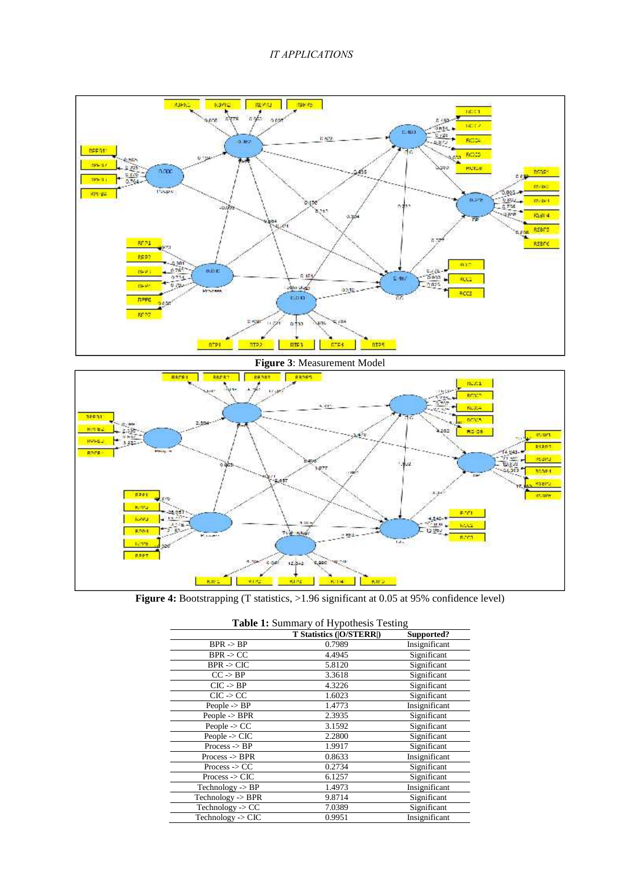## *IT APPLICATIONS*





**Figure 4:** Bootstrapping (T statistics, >1.96 significant at 0.05 at 95% confidence level)

|                               | T Statistics ( O/STERR ) | Supported?    |
|-------------------------------|--------------------------|---------------|
| $BPR \rightarrow BP$          | 0.7989                   | Insignificant |
| $BPR \rightarrow CC$          | 4.4945                   | Significant   |
| $BPR \rightarrow CIC$         | 5.8120                   | Significant   |
| $CC \rightarrow BP$           | 3.3618                   | Significant   |
| $CIC \rightarrow BP$          | 4.3226                   | Significant   |
| $CIC \rightarrow CC$          | 1.6023                   | Significant   |
| People $\rightarrow$ BP       | 1.4773                   | Insignificant |
| People $\rightarrow$ BPR      | 2.3935                   | Significant   |
| People $\text{-}$ $\text{CC}$ | 3.1592                   | Significant   |
| People $\sim$ CIC             | 2.2800                   | Significant   |
| Process $\rightarrow$ BP      | 1.9917                   | Significant   |
| Process < BPR                 | 0.8633                   | Insignificant |
| $Process <$ CC                | 0.2734                   | Significant   |
| Process $\sim$ CIC            | 6.1257                   | Significant   |
| Technology $\rightarrow$ BP   | 1.4973                   | Insignificant |
| Technology $\rightarrow$ BPR  | 9.8714                   | Significant   |
| Technology $\rightarrow CC$   | 7.0389                   | Significant   |
| Technology -> $CIC$           | 0.9951                   | Insignificant |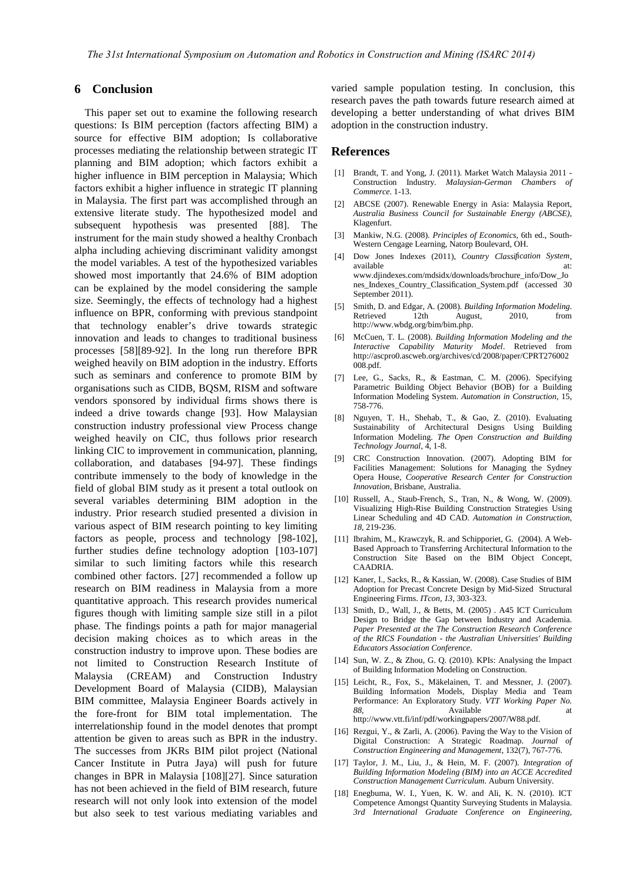## **6 Conclusion**

This paper set out to examine the following research questions: Is BIM perception (factors affecting BIM) a source for effective BIM adoption; Is collaborative processes mediating the relationship between strategic IT planning and BIM adoption; which factors exhibit a higher influence in BIM perception in Malaysia; Which [1] factors exhibit a higher influence in strategic IT planning in Malaysia. The first part was accomplished through an extensive literate study. The hypothesized model and subsequent hypothesis was presented [88]. The<br>instrument for the main study showed a healthy Cronbach [3] instrument for the main study showed a healthy Cronbach alpha including achieving discriminant validity amongst the model variables. A test of the hypothesized variables showed most importantly that 24.6% of BIM adoption can be explained by the model considering the sample size. Seemingly, the effects of technology had a highest  $[5]$ influence on BPR, conforming with previous standpoint that technology enabler's drive towards strategic innovation and leads to changes to traditional business [6] processes [58][89-92]. In the long run therefore BPR weighed heavily on BIM adoption in the industry. Efforts such as seminars and conference to promote BIM by [7] organisations such as CIDB, BQSM, RISM and software vendors sponsored by individual firms shows there is indeed a drive towards change [93]. How Malaysian construction industry professional view Process change weighed heavily on CIC, thus follows prior research linking CIC to improvement in communication, planning, collaboration, and databases [94-97]. These findings contribute immensely to the body of knowledge in the field of global BIM study as it present a total outlook on several variables determining BIM adoption in the industry. Prior research studied presented a division in various aspect of BIM research pointing to key limiting factors as people, process and technology [98-102], further studies define technology adoption [103-107] similar to such limiting factors while this research combined other factors. [27] recommended a follow up research on BIM readiness in Malaysia from a more quantitative approach. This research provides numerical figures though with limiting sample size still in a pilot phase. The findings points a path for major managerial decision making choices as to which areas in the construction industry to improve upon. These bodies are not limited to Construction Research Institute of Malaysia (CREAM) and Construction Industry Development Board of Malaysia (CIDB), Malaysian BIM committee, Malaysia Engineer Boards actively in the fore-front for BIM total implementation. The interrelationship found in the model denotes that prompt attention be given to areas such as BPR in the industry. The successes from JKRs BIM pilot project (National Cancer Institute in Putra Jaya) will push for future changes in BPR in Malaysia [108][27]. Since saturation has not been achieved in the field of BIM research, future research will not only look into extension of the model but also seek to test various mediating variables and

varied sample population testing. In conclusion, this research paves the path towards future research aimed at developing a better understanding of what drives BIM adoption in the construction industry.

## **References**

- Brandt, T. and Yong, J. (2011). Market Watch Malaysia 2011 -Construction Industry. *Malaysian-German Chambers of Commerce*. 1-13.
- [2] ABCSE (2007). Renewable Energy in Asia: Malaysia Report, *Australia Business Council for Sustainable Energy (ABCSE)*, Klagenfurt.
- [3] Mankiw, N.G. (2008). *Principles of Economics*, 6th ed., South- Western Cengage Learning, Natorp Boulevard, OH.
- [4] Dow Jones Indexes (2011), *Country Classification System*, available at: www.djindexes.com/mdsidx/downloads/brochure\_info/Dow\_Jo nes\_Indexes\_Country\_Classification\_System.pdf (accessed 30 September 2011).
- [5] Smith, D. and Edgar, A. (2008). *Building Information Modeling*. Retrieved 12th August, 2010, from http://www.wbdg.org/bim/bim.php.
- [6] McCuen, T. L. (2008). *Building Information Modeling and the Interactive Capability Maturity Model*. Retrieved from http://ascpro0.ascweb.org/archives/cd/2008/paper/CPRT276002 008.pdf.
- Lee, G., Sacks, R., & Eastman, C. M. (2006). Specifying Parametric Building Object Behavior (BOB) for a Building Information Modeling System. *Automation in Construction*, 15, 758-776.
- Nguyen, T. H., Shehab, T., & Gao, Z. (2010). Evaluating Sustainability of Architectural Designs Using Building Information Modeling. *The Open Construction and Building Technology Journal*, 4, 1-8.
- CRC Construction Innovation. (2007). Adopting BIM for Facilities Management: Solutions for Managing the Sydney Opera House, *Cooperative Research Center for Construction Innovation*, Brisbane, Australia.
- [10] Russell, A., Staub-French, S., Tran, N., & Wong, W. (2009). Visualizing High-Rise Building Construction Strategies Using Linear Scheduling and 4D CAD. *Automation in Construction, 18*, 219-236.
- [11] Ibrahim, M., Krawczyk, R. and Schipporiet, G. (2004). A Web-Based Approach to Transferring Architectural Information to the Construction Site Based on the BIM Object Concept, CAADRIA.
- [12] Kaner, I., Sacks, R., & Kassian, W. (2008). Case Studies of BIM Adoption for Precast Concrete Design by Mid-Sized Structural Engineering Firms. *ITcon, 13*, 303-323.
- [13] Smith, D., Wall, J., & Betts, M. (2005) . A45 ICT Curriculum Design to Bridge the Gap between Industry and Academia. *Paper Presented at the The Construction Research Conference of the RICS Foundation - the Australian Universities' Building Educators Association Conference*.
- [14] Sun, W. Z., & Zhou, G. Q. (2010). KPIs: Analysing the Impact of Building Information Modeling on Construction.
- [15] Leicht, R., Fox, S., Mäkelainen, T. and Messner, J. (2007). Building Information Models, Display Media and Team Performance: An Exploratory Study. *VTT Working Paper No.* 88, **Available** at a structure at a structure at a structure at a structure at a structure at a structure at a structure at a structure at a structure at a structure at a structure at a structure at a structure at a struct http://www.vtt.fi/inf/pdf/workingpapers/2007/W88.pdf.
- Rezgui, Y., & Zarli, A. (2006). Paving the Way to the Vision of Digital Construction: A Strategic Roadmap. *Journal of Construction Engineering and Management*, 132(7), 767-776.
- [17] Taylor, J. M., Liu, J., & Hein, M. F. (2007). *Integration of Building Information Modeling (BIM) into an ACCE Accredited Construction Management Curriculum*. Auburn University.
- [18] Enegbuma, W. I., Yuen, K. W. and Ali, K. N. (2010). ICT Competence Amongst Quantity Surveying Students in Malaysia. *3rd International Graduate Conference on Engineering,*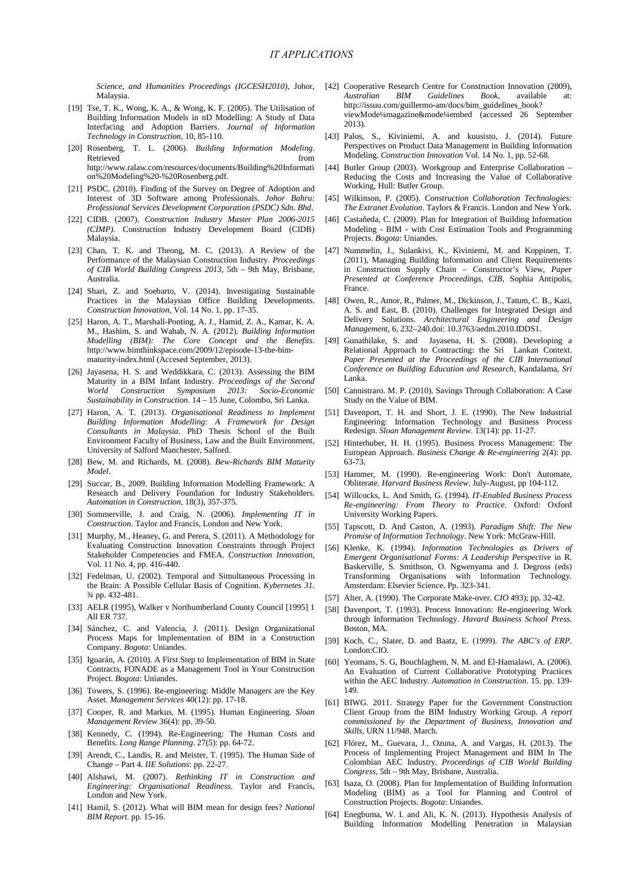Malaysia.

- [19] Tse, T. K., Wong, K. A., & Wong, K. F. (2005). The Utilisation of Building Information Models in nD Modelling: A Study of Data Interfacing and Adoption Barriers. *Journal of Information Technology in Construction*, 10, 85-110.
- [20] Rosenberg, T. L. (2006). *Building Information Modeling*. Retrieved Mode http://www.ralaw.com/resources/documents/Building%20Informati on%20Modeling%20-%20Rosenberg.pdf.
- [21] PSDC. (2010). Finding of the Survey on Degree of Adoption and Interest of 3D Software among Professionals. *Johor Bahru: Professional Services Development Corporation (PSDC) Sdn. Bhd*.
- [22] CIDB. (2007). *Construction Industry Master Plan 2006-2015 (CIMP).* Construction Industry Development Board (CIDB) Malaysia.
- [23] Chan, T. K. and Theong, M. C. (2013). A Review of the Performance of the Malaysian Construction Industry. *Proceedings of CIB World Building Congress 2013*, 5th – 9th May, Brisbane, Australia.
- [24] Shari, Z. and Soebarto, V. (2014). Investigating Sustainable Practices in the Malaysian Office Building Developments. *Construction Innovation*, Vol. 14 No. 1, pp. 17-35.
- [25] Haron, A. T., Marshall-Ponting, A. J., Hamid, Z. A., Kamar, K. A. M., Hashim, S. and Wahab, N. A. (2012). *Building Information Modelling (BIM): The Core Concept and the Benefits*. http://www.bimthinkspace.com/2009/12/episode-13-the-bim maturity-index.html (Accesed September, 2013).
- [26] Jayasena, H. S. and Weddikkara, C. (2013). Assessing the BIM Maturity in a BIM Infant Industry. *Proceedings of the Second World Construction Symposium 2013: Socio-Economic Sustainability in Construction*. 14 – 15 June, Colombo, Sri Lanka.
- [27] Haron, A. T. (2013). *Organisational Readiness to Implement Building Information Modelling: A Framework for Design Consultants in Malaysia*. PhD Thesis School of the Built Environment Faculty of Business, Law and the Built Environment, University of Salford Manchester, Salford.
- [28] Bew, M. and Richards, M. (2008). *Bew-Richards BIM Maturity Model*.
- [29] Succar, B., 2009. Building Information Modelling Framework: A Research and Delivery Foundation for Industry Stakeholders. [54] *Automation in Construction*, 18(3), 357-375.
- [30] Sommerville, J. and Craig, N. (2006). *Implementing IT in Construction*. Taylor and Francis, London and New York.
- [31] Murphy, M., Heaney, G. and Perera, S. (2011). A Methodology for Evaluating Construction Innovation Constraints through Project Stakeholder Competencies and FMEA. *Construction Innovation*, Vol. 11 No. 4, pp. 416-440.
- [32] Fedelman, U. (2002). Temporal and Simultaneous Processing in the Brain: A Possible Cellular Basis of Cognition. *Kybernetes 31*. ¾ pp. 432-481.
- [33] AELR (1995), Walker v Northumberland County Council [1995] 1 All ER 737.
- [34] Sánchez, C. and Valencia, J. (2011). Design Organizational Process Maps for Implementation of BIM in a Construction [59] Company. *Bogota*: Uniandes.
- [35] Iguarán, A. (2010). A First Step to Implementation of BIM in State Contracts, FONADE as a Management Tool in Your Construction Project. *Bogota*: Uniandes.
- [36] Towers, S. (1996). Re-engineering: Middle Managers are the Key Asset. *Management Services* 40(12): pp. 17-18.
- [37] Cooper, R. and Markus, M. (1995). Human Engineering. *Sloan Management Review* 36(4): pp. 39-50.
- [38] Kennedy, C. (1994). Re-Engineering: The Human Costs and Benefits*. Long Range Planning*. 27(5): pp. 64-72.
- [39] Arendt, C., Landis, R. and Meister, T. (1995). The Human Side of Change – Part 4. *IIE Solutions*: pp. 22-27.
- [40] Alshawi, M. (2007). *Rethinking IT in Construction and Engineering: Organisational Readiness*. Taylor and Francis, London and New York.
- [41] Hamil, S. (2012). What will BIM mean for design fees? *National BIM Report*. pp. 15-16.
- *Science, and Humanities Proceedings (IGCESH2010)*, Johor, [42] Cooperative Research Centre for Construction Innovation (2009), *Australian BIM Guidelines Book*, available at: http://issuu.com/guillermo-am/docs/bim\_guidelines\_book? viewMode¼magazine&mode¼embed (accessed 26 September 2013).
	- [43] Palos, S., Kiviniemi, A. and kuusisto, J. (2014). Future Perspectives on Product Data Management in Building Information Modeling. *Construction Innovation* Vol. 14 No. 1, pp. 52-68.
	- [44] Butler Group (2003). Workgroup and Enterprise Collaboration Reducing the Costs and Increasing the Value of Collaborative Working, Hull: Butler Group.
	- [45] Wilkinson, P. (2005). *Construction Collaboration Technologies: The Extranet Evolution*. Taylors & Francis. London and New York.
	- [46] Castañeda, C. (2009). Plan for Integration of Building Information Modeling - BIM - with Cost Estimation Tools and Programming Projects. *Bogota*: Uniandes.
	- [47] Nummelin, J., Sulankivi, K., Kiviniemi, M. and Koppinen, T. (2011), Managing Building Information and Client Requirements in Construction Supply Chain – Constructor's View, *Paper Presented at Conference Proceedings, CIB*, Sophia Antipolis, France.
	- [48] Owen, R., Amor, R., Palmer, M., Dickinson, J., Tatum, C. B., Kazi, A. S. and East, B. (2010). Challenges for Integrated Design and Delivery Solutions. *Architectural Engineering and Design Management*, 6, 232–240.doi: 10.3763/aedm.2010.IDDS1.
	- Gunathilake, S. and Jayasena, H. S. (2008). Developing a Relational Approach to Contracting: the Sri Lankan Context. *Paper Presented at the Proceedings of the CIB International Conference on Building Education and Research*, Kandalama, *Sri* Lanka.
	- [50] Cannistraro. M. P. (2010). Savings Through Collaboration: A Case Study on the Value of BIM.
	- Davenport, T. H. and Short, J. E. (1990). The New Industrial Engineering: Information Technology and Business Process Redesign. *Sloan Management Review*. 13(14): pp. 11-27.
	- [52] Hinterhuber, H. H. (1995). Business Process Management: The European Approach. *Business Change & Re-engineering* 2(4): pp. 63-73.
	- [53] Hammer, M. (1990). Re-engineering Work: Don't Automate, Obliterate. *Harvard Business Review*. July-August, pp 104-112.
	- [54] Willcocks, L. And Smith, G. (1994). *IT-Enabled Business Process Re-engineering: From Theory to Practice*. Oxford: Oxford University Working Papers.
	- [55] Tapscott, D. And Caston, A. (1993). *Paradigm Shift: The New Promise of Information Technology*. New York: McGraw-Hill.
	- [56] Klenke, K. (1994). *Information Technologies as Drivers of Emergent Organisational Forms: A Leadership Perspective* in R. Baskerville, S. Smithson, O. Ngwenyama and J. Degross (eds) Transforming Organisations with Information Technology. Amsterdam: Elsevier Science. Pp. 323-341.
	- [57] Alter, A. (1990). The Corporate Make-over. *CIO* 493); pp. 32-42.
	- [58] Davenport, T. (1993). Process Innovation: Re-engineering Work through Information Technology. *Havard Business School Press*. Boston, MA.
	- Koch, C., Slater, D. and Baatz, E. (1999). *The ABC's of ERP*. London:CIO.
	- [60] Yeomans, S. G, Bouchlaghem, N. M. and El-Hamalawi, A. (2006). An Evaluation of Current Collaborative Prototyping Practices within the AEC Industry. *Automation in Construction*. 15. pp. 139- 149.
	- [61] BIWG. 2011. Strategy Paper for the Government Construction Client Group from the BIM Industry Working Group. *A report commissioned by the Department of Business, Innovation and Skills*, URN 11/948. March.
	- [62] Flórez, M., Guevara, J., Ozuna, A. and Vargas, H. (2013). The Process of Implementing Project Management and BIM In The Colombian AEC Industry. *Proceedings of CIB World Building Congress*, 5th – 9th May, Brisbane, Australia.
	- [63] Isaza, O. (2008). Plan for Implementation of Building Information Modeling (BIM) as a Tool for Planning and Control of Construction Projects. *Bogota*: Uniandes.
	- Enegbuma, W. I. and Ali, K. N. (2013). Hypothesis Analysis of Building Information Modelling Penetration in Malaysian